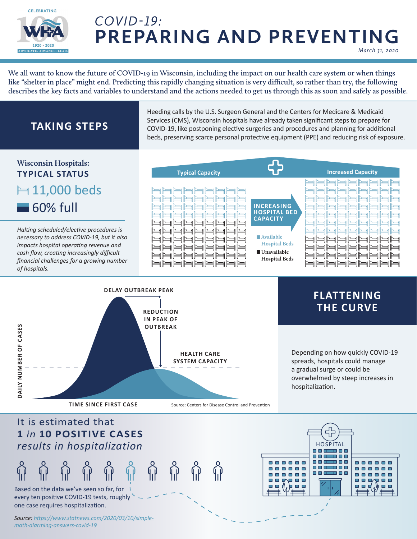

### *COVID-19:*  **PREPARING AND PREVENTING** *March 31, 2020*

**We all want to know the future of COVID-19 in Wisconsin, including the impact on our health care system or when things like "shelter in place" might end. Predicting this rapidly changing situation is very difficult, so rather than try, the following describes the key facts and variables to understand and the actions needed to get us through this as soon and safely as possible.**

## **TAKING STEPS**

Heeding calls by the U.S. Surgeon General and the Centers for Medicare & Medicaid Services (CMS), Wisconsin hospitals have already taken significant steps to prepare for COVID-19, like postponing elective surgeries and procedures and planning for additional beds, preserving scarce personal protective equipment (PPE) and reducing risk of exposure.

#### **Wisconsin Hospitals: Typical Capacity Increased Capacity TYPICAL STATUS**  ed ed ed ed ed ed ed 11,000 beds رصل رصل رصل رصل رصل رصل رصل ر رصل روط روط روط روط روط روط رصن رصن رصن روط روط روط روط ر ed ed ed ed ed ed ed 60% full **INCREASING**  ed ed ed ed ed ed ed ed ed ed ed ed ed ed ed ed **HOSPITAL BED**  <u>ha ha ha ha ha ha ha ha</u> ed ed ed ed ed ed ed e **CAPACITY** صارصا رصارصا رصارصا رصار e e e e e e e e e e e *Halting scheduled/elective procedures is*  e e e e e e e e e e e en len len len len len le *necessary to address COVID-19, but it also*  **Available**  e e e e e e e رط رصر رصر رصر رصر رصر رصر **Hospital Beds** *impacts hospital operating revenue and*  رصل رصل رصل رصل رصل رصل رصل رصل رصل رصل رصل رصل رصل رصل رصل رصل **Unavailable**  *cash flow, creating increasingly difficult*  رصارصا رصارصا رصارصا رصارصا رصا رصا رصا رصا رصا رصا رصا رصا **Hospital Beds** *financial challenges for a growing number*  医同国国国国国国国 国国国国国国国国 *of hospitals.*



### **FLATTENING THE CURVE**

Depending on how quickly COVID-19 spreads, hospitals could manage a gradual surge or could be overwhelmed by steep increases in hospitalization.